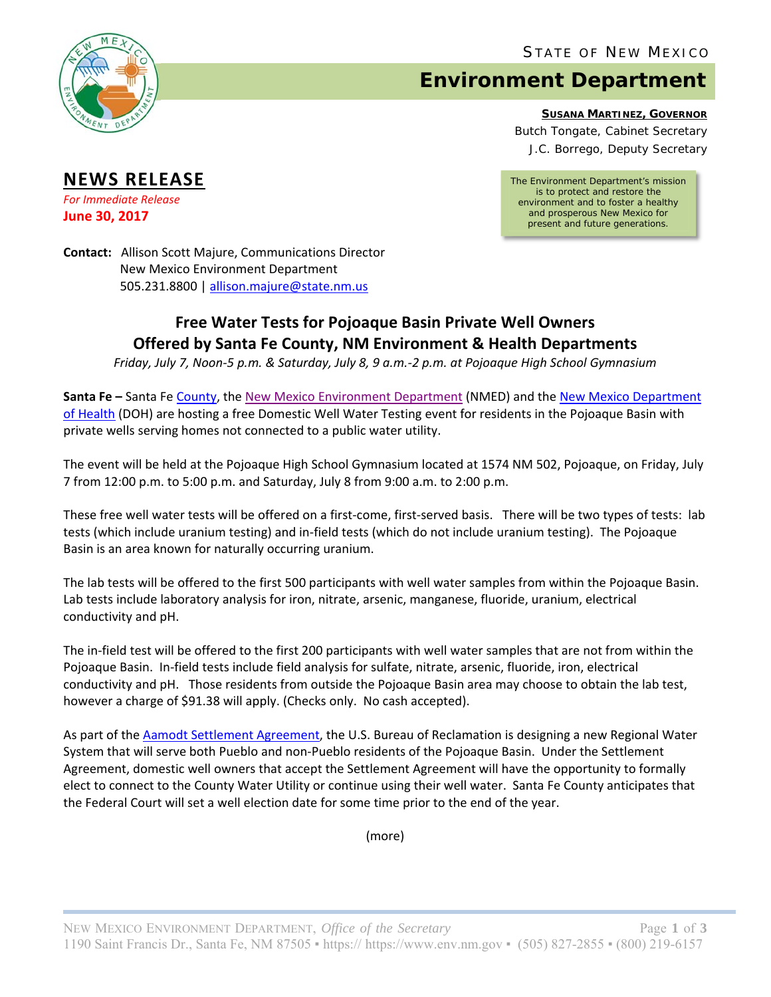STATE OF NEW MEXICO



**NEWS RELEASE** *For Immediate Release* **June 30, 2017**

# **Environment Department**

**SUSANA MARTINEZ, GOVERNOR**

Butch Tongate, Cabinet Secretary J.C. Borrego, Deputy Secretary

*The Environment Department's mission is to protect and restore the environment and to foster a healthy and prosperous New Mexico for present and future generations.* 

**Contact:** Allison Scott Majure, Communications Director New Mexico Environment Department 505.231.8800 | allison.majure@state.nm.us

## **Free Water Tests for Pojoaque Basin Private Well Owners Offered by Santa Fe County, NM Environment & Health Departments**

Friday, July 7, Noon-5 p.m. & Saturday, July 8, 9 a.m.-2 p.m. at Pojoaque High School Gymnasium

**Santa Fe –** Santa Fe County, the New Mexico Environment Department (NMED) and the New Mexico Department of Health (DOH) are hosting a free Domestic Well Water Testing event for residents in the Pojoaque Basin with private wells serving homes not connected to a public water utility.

The event will be held at the Pojoaque High School Gymnasium located at 1574 NM 502, Pojoaque, on Friday, July 7 from 12:00 p.m. to 5:00 p.m. and Saturday, July 8 from 9:00 a.m. to 2:00 p.m.

These free well water tests will be offered on a first-come, first-served basis. There will be two types of tests: lab tests (which include uranium testing) and in‐field tests (which do not include uranium testing). The Pojoaque Basin is an area known for naturally occurring uranium.

The lab tests will be offered to the first 500 participants with well water samples from within the Pojoaque Basin. Lab tests include laboratory analysis for iron, nitrate, arsenic, manganese, fluoride, uranium, electrical conductivity and pH.

The in‐field test will be offered to the first 200 participants with well water samples that are not from within the Pojoaque Basin. In‐field tests include field analysis for sulfate, nitrate, arsenic, fluoride, iron, electrical conductivity and pH. Those residents from outside the Pojoaque Basin area may choose to obtain the lab test, however a charge of \$91.38 will apply. (Checks only. No cash accepted).

As part of the Aamodt Settlement Agreement, the U.S. Bureau of Reclamation is designing a new Regional Water System that will serve both Pueblo and non‐Pueblo residents of the Pojoaque Basin. Under the Settlement Agreement, domestic well owners that accept the Settlement Agreement will have the opportunity to formally elect to connect to the County Water Utility or continue using their well water. Santa Fe County anticipates that the Federal Court will set a well election date for some time prior to the end of the year.

(more)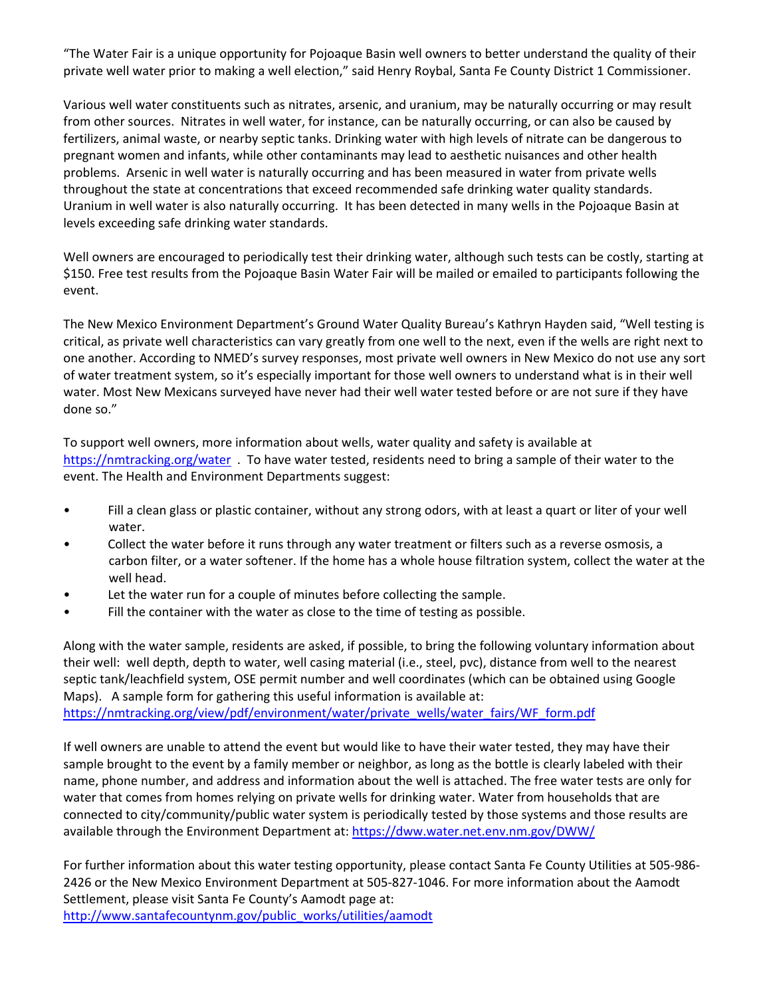"The Water Fair is a unique opportunity for Pojoaque Basin well owners to better understand the quality of their private well water prior to making a well election," said Henry Roybal, Santa Fe County District 1 Commissioner.

Various well water constituents such as nitrates, arsenic, and uranium, may be naturally occurring or may result from other sources. Nitrates in well water, for instance, can be naturally occurring, or can also be caused by fertilizers, animal waste, or nearby septic tanks. Drinking water with high levels of nitrate can be dangerous to pregnant women and infants, while other contaminants may lead to aesthetic nuisances and other health problems. Arsenic in well water is naturally occurring and has been measured in water from private wells throughout the state at concentrations that exceed recommended safe drinking water quality standards. Uranium in well water is also naturally occurring. It has been detected in many wells in the Pojoaque Basin at levels exceeding safe drinking water standards.

Well owners are encouraged to periodically test their drinking water, although such tests can be costly, starting at \$150. Free test results from the Pojoaque Basin Water Fair will be mailed or emailed to participants following the event.

The New Mexico Environment Department's Ground Water Quality Bureau's Kathryn Hayden said, "Well testing is critical, as private well characteristics can vary greatly from one well to the next, even if the wells are right next to one another. According to NMED's survey responses, most private well owners in New Mexico do not use any sort of water treatment system, so it's especially important for those well owners to understand what is in their well water. Most New Mexicans surveyed have never had their well water tested before or are not sure if they have done so."

To support well owners, more information about wells, water quality and safety is available at https://nmtracking.org/water . To have water tested, residents need to bring a sample of their water to the event. The Health and Environment Departments suggest:

- Fill a clean glass or plastic container, without any strong odors, with at least a quart or liter of your well water.
- Collect the water before it runs through any water treatment or filters such as a reverse osmosis, a carbon filter, or a water softener. If the home has a whole house filtration system, collect the water at the well head.
- Let the water run for a couple of minutes before collecting the sample.
- Fill the container with the water as close to the time of testing as possible.

Along with the water sample, residents are asked, if possible, to bring the following voluntary information about their well: well depth, depth to water, well casing material (i.e., steel, pvc), distance from well to the nearest septic tank/leachfield system, OSE permit number and well coordinates (which can be obtained using Google Maps). A sample form for gathering this useful information is available at: https://nmtracking.org/view/pdf/environment/water/private\_wells/water\_fairs/WF\_form.pdf

If well owners are unable to attend the event but would like to have their water tested, they may have their sample brought to the event by a family member or neighbor, as long as the bottle is clearly labeled with their name, phone number, and address and information about the well is attached. The free water tests are only for water that comes from homes relying on private wells for drinking water. Water from households that are connected to city/community/public water system is periodically tested by those systems and those results are available through the Environment Department at: https://dww.water.net.env.nm.gov/DWW/

For further information about this water testing opportunity, please contact Santa Fe County Utilities at 505‐986‐ 2426 or the New Mexico Environment Department at 505‐827‐1046. For more information about the Aamodt Settlement, please visit Santa Fe County's Aamodt page at: http://www.santafecountynm.gov/public\_works/utilities/aamodt